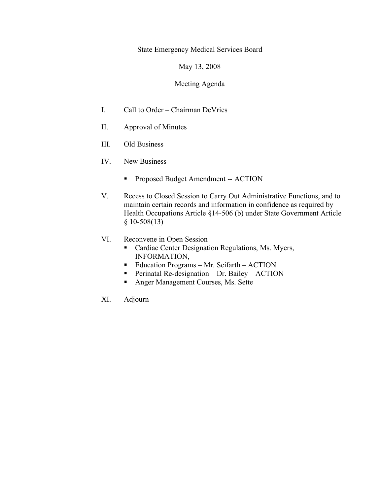State Emergency Medical Services Board

May 13, 2008

## Meeting Agenda

- I. Call to Order Chairman DeVries
- II. Approval of Minutes
- III. Old Business
- IV. New Business
	- Proposed Budget Amendment -- ACTION
- V. Recess to Closed Session to Carry Out Administrative Functions, and to maintain certain records and information in confidence as required by Health Occupations Article §14-506 (b) under State Government Article  $§ 10-508(13)$
- VI. Reconvene in Open Session
	- **Cardiac Center Designation Regulations, Ms. Myers,** INFORMATION,
	- Education Programs Mr. Seifarth ACTION
	- Perinatal Re-designation Dr. Bailey ACTION
	- **Anger Management Courses, Ms. Sette**
- XI. Adjourn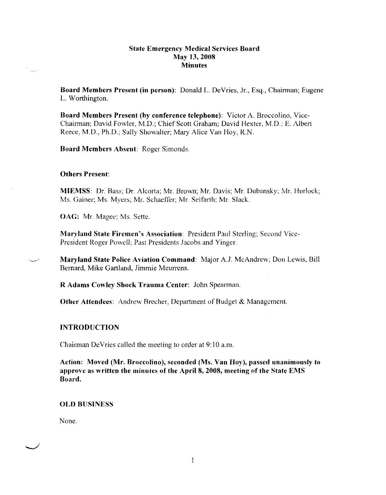### State Emergency Medical Services Board May 13, 2008 **Minutes**

Board Members Present (in person): Donald L. De Vries, Jr., Esq., Chairman; Eugene L. Worthington.

Board Members Present (by conference telephone): Victor A. Broccolino, Vice-Chairman; David Fowler, M.D.; Chief Scott Graham; David Hexter, M.D.; E. Albert Reece, M.D., Ph.D.; Sally Showalter; Mary Alice Van Hoy, R.N.

Board Members Absent: Roger Simonds.

#### Others Present:

i.<br>Nas

MIEMSS: Dr. Bass; Dr. Alcorta; Mr. Brown; Mr. Davis; Mr. Dubansky; Mr. Hurlock; Ms. Gainer; Ms. Myers; Mr. Schaeffer; Mr. Seifarth; Mr. Slack.

OAG: Mr. Magee; Ms. Sette.

Maryland State Firemen's Association: President Paul Sterling; Second Vice-Prcsident Roger Powell; Past Presidents Jacobs and Yinger.

Maryland State Police Aviation Command: Major A.J. McAndrew; Don Lewis, Bill Bernard, Mike Gartland, Jimmie Meurrcns.

R Adams Cowley Shock Trauma Center: John Spearman.

**Other Attendees:** Andrew Brecher, Department of Budget & Management.

### INTRODUCTION

Chairman De Vries called the meeting to order at 9:10 a.m.

Action: Moved (Mr. Broccolino), seconded (Ms. Van Hoy), passed unanimously to approve as written the minutes of the April 8, 2008, meeting of the State EMS Board.

#### OLD BUSINESS

None.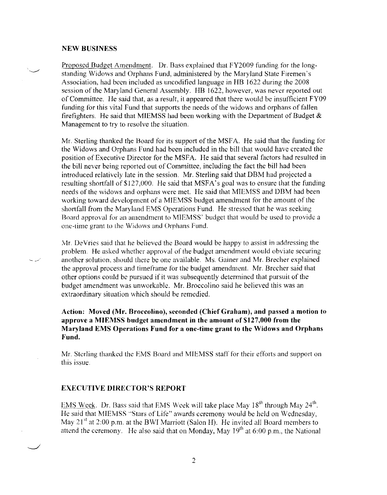#### **NEW BUSINESS**

Proposed Budget Amendment. Dr. Bass explained that FY2009 funding for the longstanding Widows and Orphans Fund, administered by the Maryland State Firemen's Association, had been included as uncodified language in HB 1622 during the 2008 session of the Maryland General Assembly. HB 1622, however, was never reported out of Committee. He said that, as a result, it appeared that there would be insufficient FY09 funding for this vital Fund that supports the needs of the widows and orphans of fallen firefighters. He said that MIEMSS had been working with the Department of Budget  $\&$ Management to try to resolve the situation.

Mr. Sterling thanked the Board for its support of the MSF A. He said that the funding for the Widows and Orphans Fund had been included in the bill that would have created the position of Executive Director for the MSFA. He said that several factors had resulted in the bill never being reported out of Committee, including the fact the bill had been introduced relatively late in the session. Mr. Sterling said that DBM had projected a resulting shortfall of \$127,000. He said that MSFA's goal was to ensure that the funding needs of the widows and orphans were met. He said that MIEMSS and DBM had been working toward development of a MIEMSS budget amendment for the amount of the shortfall from the Maryland EMS Operations Fund. He stressed that he was seeking Board approval for an amendment to MJEMSS' budget that would be used to provide a one-lime grant to the Widows and Orphans Fund.

Mr. De Vries said that he believed the Board would be happy to assist in addressing the problem. He asked whether approval of the budget amendment would obviate securing another solution, should there be one available. Ms. Gainer and Mr. Brecher explained the approval process and timeframe for the budget amendment. Mr. Brecher said that other options could be pursued if it was subsequently determined that pursuit of the budget amendment was unworkable. Mr. Broccolino said he believed this was an extraordinary situation which should be remedied.

## **Action: Moved (Mr. Broccolino), seconded (Chief Graham), and passed a motion to approve a MIEMSS budget amendment in the amount of \$127,000 from the Maryland EMS Operations Fund for a one-time grant to the Widows and Orphans Fund.**

Mr. Sterling thanked the EMS Board and MIEMSS staff for their efforts and support on this issue.

#### **EXECUTIVE DIRECTOR'S REPORT**

EMS Week. Dr. Bass said that EMS Week will take place May 18<sup>th</sup> through May 24<sup>th</sup>. He said that MIEMSS "Stars of Life" awards ceremony would be held on Wednesday, May 21<sup>st</sup> at 2:00 p.m. at the BWI Marriott (Salon H). He invited all Board members to attend the ceremony. He also said that on Monday, May  $19<sup>th</sup>$  at 6:00 p.m., the National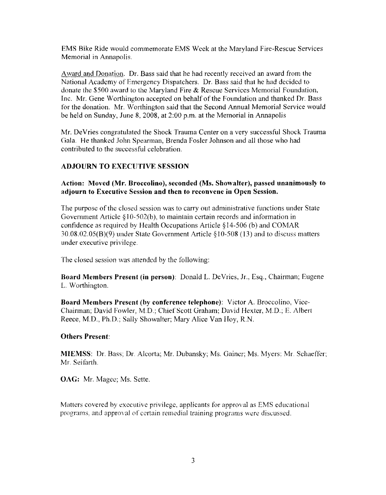EMS Bike Ride would commemorate EMS Week at the Maryland Fire-Rescue Services Memorial in Annapolis.

Award and Donation. Dr. Bass said that he had recently received an award from the National Academy of Emergency Dispatchers. Dr. Bass said that he had decided to donate the \$500 award to the Maryland Fire & Rescue Services Memorial Foundation, Inc. Mr. Gene Worthington accepted on behalf of the Foundation and thanked Dr. Bass for the donation. Mr. Worthington said that the Second Annual Memorial Service *would*  be held on Sunday, June 8, 2008, at 2:00 p.m. at the Memorial in Annapolis

Mr. De Vries congratulated the Shock Trauma Center on a very successful Shock Trauma Gala. He thanked John Spearman, Brenda Fosler Jolmson and all those who had contributed to the successful celebration.

# **ADJOURN TO EXECUTIVE SESSION**

## **Action: Moved (Mr. Broccolino), seconded (Ms. Showalter), passed unanimously to adjourn to Executive Session and then to reconvene in Open Session.**

The purpose of the closed session was to carry out administrative functions under State Government Article§ 10-502(b), to maintain certain records and information in confidence as required by Health Occupations Article § 14-506 (b) and COMAR 30.08.02.05(B)(9) under State Government Article §10-508 (13) and to discuss matters under executive privilege.

The closed session was attended by the following:

**Board Members Present (in person):** Donald L. De Vries, Jr., Esq., Chairman; Eugene L. Worthington.

**Board Members Present** (by **conference telephone):** Victor A. Broccolino, Vice-Chairman; David Fowler, M.D.; Chief Scott Graham; David Hexter, M.D.; E. Albert Reece, M.D., Ph.D.; Sally Showalter; Mary Alice Van Hoy, R.N.

# **Others Present:**

**MIEMSS:** Dr. Bass; Dr. Alcorta; Mr. Dubansky; Ms. Gainer; Ms. Myers: Mr. Schaeffer: Mr. Seifarth.

**OAG:** Mr. Magee; Ms. Sette.

Matters covered by executive privilege, applicants for approval as EMS educational programs, and approval of certain remedial training programs were discussed.